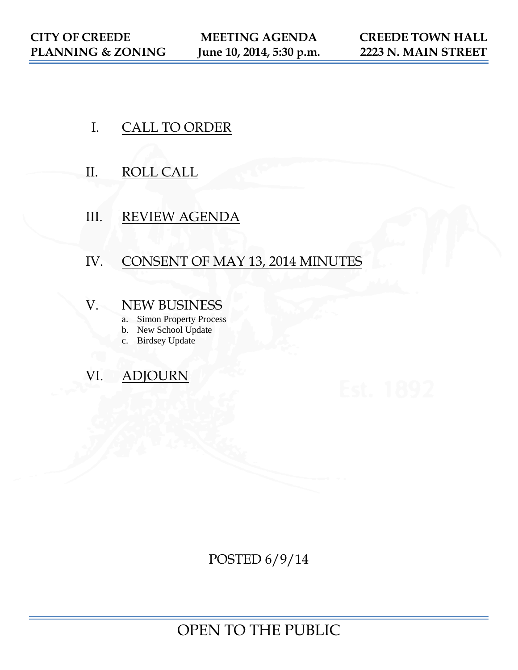- I. CALL TO ORDER
- II. ROLL CALL
- III. REVIEW AGENDA

# IV. CONSENT OF MAY 13, 2014 MINUTES

# V. NEW BUSINESS

- a. Simon Property Process
- b. New School Update
- c. Birdsey Update

# VI. ADJOURN

POSTED 6/9/14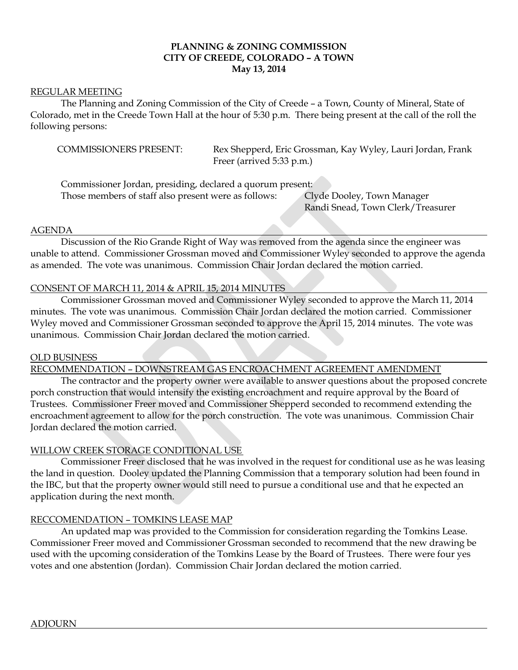# **PLANNING & ZONING COMMISSION CITY OF CREEDE, COLORADO – A TOWN May 13, 2014**

#### REGULAR MEETING

The Planning and Zoning Commission of the City of Creede – a Town, County of Mineral, State of Colorado, met in the Creede Town Hall at the hour of 5:30 p.m. There being present at the call of the roll the following persons:

COMMISSIONERS PRESENT: Rex Shepperd, Eric Grossman, Kay Wyley, Lauri Jordan, Frank Freer (arrived 5:33 p.m.)

Commissioner Jordan, presiding, declared a quorum present:

Those members of staff also present were as follows: Clyde Dooley, Town Manager

Randi Snead, Town Clerk/Treasurer

#### AGENDA

Discussion of the Rio Grande Right of Way was removed from the agenda since the engineer was unable to attend. Commissioner Grossman moved and Commissioner Wyley seconded to approve the agenda as amended. The vote was unanimous. Commission Chair Jordan declared the motion carried.

# CONSENT OF MARCH 11, 2014 & APRIL 15, 2014 MINUTES

Commissioner Grossman moved and Commissioner Wyley seconded to approve the March 11, 2014 minutes. The vote was unanimous. Commission Chair Jordan declared the motion carried. Commissioner Wyley moved and Commissioner Grossman seconded to approve the April 15, 2014 minutes. The vote was unanimous. Commission Chair Jordan declared the motion carried.

# OLD BUSINESS

RECOMMENDATION – DOWNSTREAM GAS ENCROACHMENT AGREEMENT AMENDMENT

The contractor and the property owner were available to answer questions about the proposed concrete porch construction that would intensify the existing encroachment and require approval by the Board of Trustees. Commissioner Freer moved and Commissioner Shepperd seconded to recommend extending the encroachment agreement to allow for the porch construction. The vote was unanimous. Commission Chair Jordan declared the motion carried.

# WILLOW CREEK STORAGE CONDITIONAL USE

Commissioner Freer disclosed that he was involved in the request for conditional use as he was leasing the land in question. Dooley updated the Planning Commission that a temporary solution had been found in the IBC, but that the property owner would still need to pursue a conditional use and that he expected an application during the next month.

# RECCOMENDATION – TOMKINS LEASE MAP

An updated map was provided to the Commission for consideration regarding the Tomkins Lease. Commissioner Freer moved and Commissioner Grossman seconded to recommend that the new drawing be used with the upcoming consideration of the Tomkins Lease by the Board of Trustees. There were four yes votes and one abstention (Jordan). Commission Chair Jordan declared the motion carried.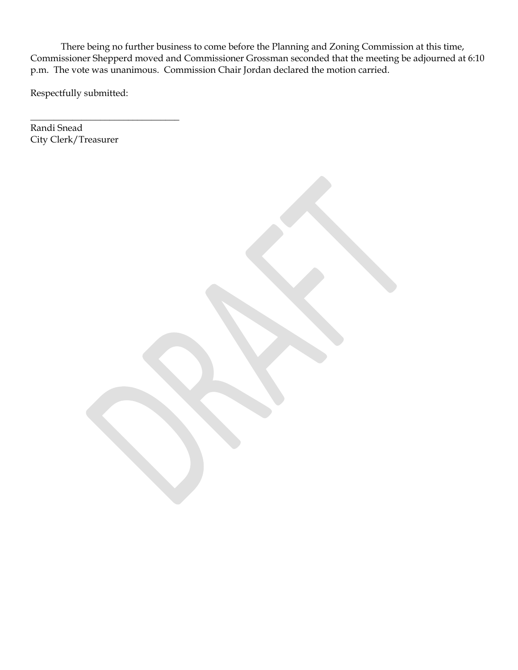There being no further business to come before the Planning and Zoning Commission at this time, Commissioner Shepperd moved and Commissioner Grossman seconded that the meeting be adjourned at 6:10 p.m. The vote was unanimous. Commission Chair Jordan declared the motion carried.

Respectfully submitted:

\_\_\_\_\_\_\_\_\_\_\_\_\_\_\_\_\_\_\_\_\_\_\_\_\_\_\_\_\_\_\_\_

Randi Snead City Clerk/Treasurer